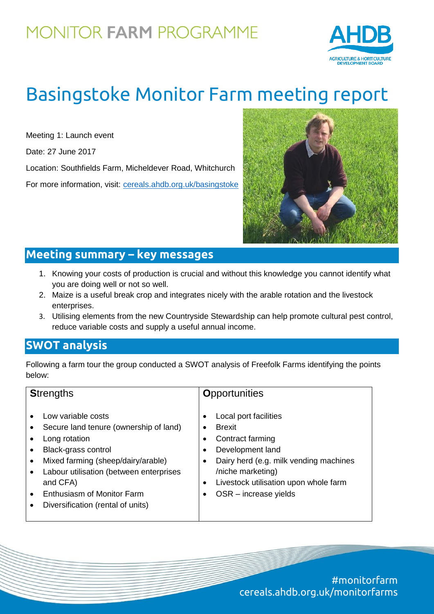## **MONITOR FARM PROGRAMME**



# Basingstoke Monitor Farm meeting report

Meeting 1: Launch event

Date: 27 June 2017

Location: Southfields Farm, Micheldever Road, Whitchurch

For more information, visit: [cereals.ahdb.org.uk/basingstoke](http://cereals.ahdb.org.uk/basingstoke)



### **Meeting summary – key messages**

- 1. Knowing your costs of production is crucial and without this knowledge you cannot identify what you are doing well or not so well.
- 2. Maize is a useful break crop and integrates nicely with the arable rotation and the livestock enterprises.
- 3. Utilising elements from the new Countryside Stewardship can help promote cultural pest control, reduce variable costs and supply a useful annual income.

#### **SWOT analysis**

Following a farm tour the group conducted a SWOT analysis of Freefolk Farms identifying the points below:

| <b>Strengths</b>                                                                                                                                                                                                                                                     | <b>Opportunities</b>                                                                                                                                                                                                 |
|----------------------------------------------------------------------------------------------------------------------------------------------------------------------------------------------------------------------------------------------------------------------|----------------------------------------------------------------------------------------------------------------------------------------------------------------------------------------------------------------------|
| Low variable costs<br>Secure land tenure (ownership of land)<br>Long rotation<br>Black-grass control<br>Mixed farming (sheep/dairy/arable)<br>Labour utilisation (between enterprises<br>and CFA)<br>Enthusiasm of Monitor Farm<br>Diversification (rental of units) | Local port facilities<br><b>Brexit</b><br>Contract farming<br>Development land<br>Dairy herd (e.g. milk vending machines<br>٠<br>/niche marketing)<br>Livestock utilisation upon whole farm<br>OSR - increase yields |

#monitorfarm cereals.ahdb.org.uk/monitorfarms